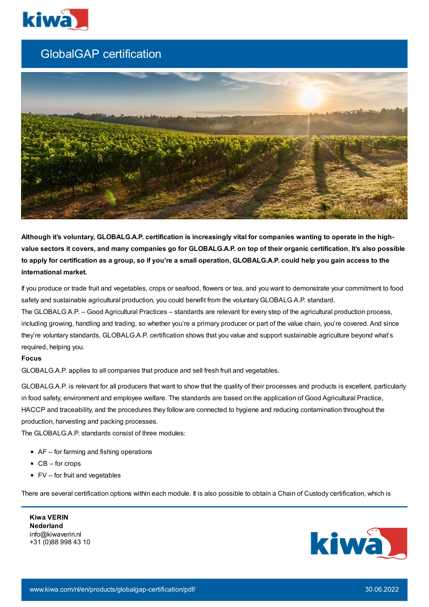

## GlobalGAP certification



Although it's voluntary, GLOBALG.A.P. certification is increasingly vital for companies wanting to operate in the highvalue sectors it covers, and many companies go for GLOBALG.A.P. on top of their organic certification. It's also possible to apply for certification as a group, so if you're a small operation, GLOBALG.A.P. could help you gain access to the **international market.**

If you produce or trade fruit and vegetables, crops or seafood, flowers or tea, and you want to demonstrate your commitment to food safety and sustainable agricultural production, you could benefit from the voluntary GLOBALG.A.P. standard.

The GLOBALG.A.P. – Good Agricultural Practices – standards are relevant for every step of the agricultural production process, including growing, handling and trading, so whether you're a primary producer or part of the value chain, you're covered. And since they're voluntary standards, GLOBALG.A.P. certification shows that you value and support sustainable agriculture beyond what's required, helping you.

## **Focus**

GLOBALG.A.P. applies to all companies that produce and sell fresh fruit and vegetables.

GLOBALG.A.P. is relevant for all producers that want to show that the quality of their processes and products is excellent, particularly in food safety, environment and employee welfare. The standards are based on the application of Good Agricultural Practice, HACCP and traceability, and the procedures they follow are connected to hygiene and reducing contamination throughout the production, harvesting and packing processes.

The GLOBALG.A.P. standards consist of three modules:

- AF for farming and fishing operations
- $\bullet$  CB for crops
- $\bullet$  FV for fruit and vegetables

There are several certification options within each module. It is also possible to obtain a Chain of Custody certification, which is

**Kiwa VERIN Nederland** info@kiwaverin.nl +31 (0)88 998 43 10